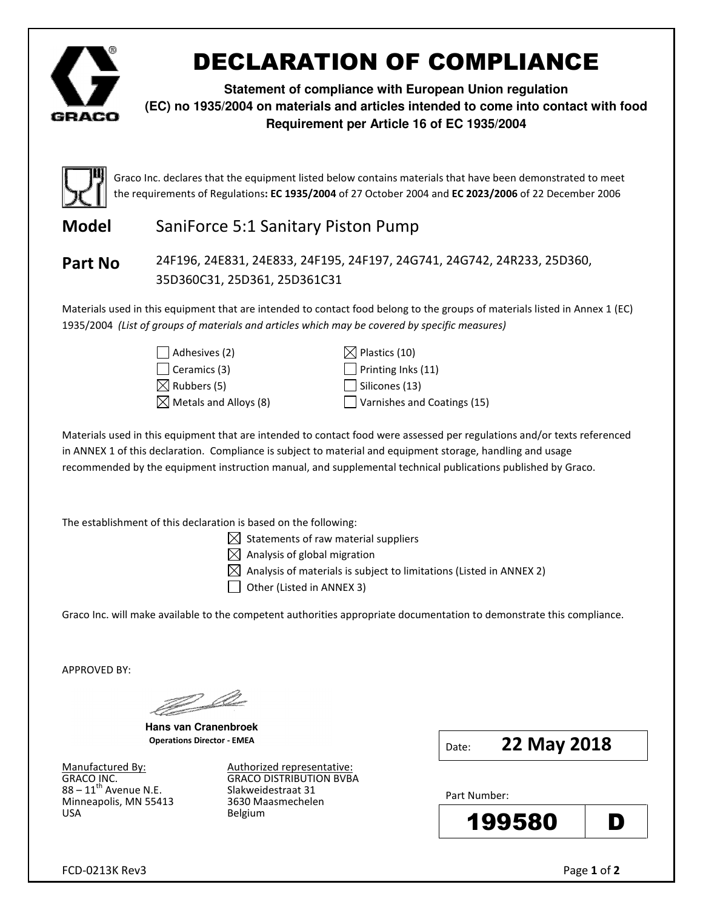

# DECLARATION OF COMPLIANCE

**Statement of compliance with European Union regulation (EC) no 1935/2004 on materials and articles intended to come into contact with food Requirement per Article 16 of EC 1935/2004**



Graco Inc. declares that the equipment listed below contains materials that have been demonstrated to meet the requirements of Regulations: EC 1935/2004 of 27 October 2004 and EC 2023/2006 of 22 December 2006

# **Model** SaniForce 5:1 Sanitary Piston Pump

Part No 24F196, 24E831, 24E833, 24F195, 24F197, 24G741, 24G742, 24R233, 25D360, 35D360C31, 25D361, 25D361C31

Materials used in this equipment that are intended to contact food belong to the groups of materials listed in Annex 1 (EC) 1935/2004 (List of groups of materials and articles which may be covered by specific measures)

> $\Box$  Adhesives (2)  $\Box$  Plastics (10)  $\Box$  Ceramics (3)  $\Box$  Printing Inks (11)  $\boxtimes$  Rubbers (5) Silicones (13)

 $\boxtimes$  Metals and Alloys (8)  $\Box$  Varnishes and Coatings (15)

Materials used in this equipment that are intended to contact food were assessed per regulations and/or texts referenced in ANNEX 1 of this declaration. Compliance is subject to material and equipment storage, handling and usage recommended by the equipment instruction manual, and supplemental technical publications published by Graco.

The establishment of this declaration is based on the following:

 $\boxtimes$  Statements of raw material suppliers

 $\boxtimes$  Analysis of global migration

 $\boxtimes$  Analysis of materials is subject to limitations (Listed in ANNEX 2)

 $\Box$  Other (Listed in ANNEX 3)

Graco Inc. will make available to the competent authorities appropriate documentation to demonstrate this compliance.

APPROVED BY:

e e de la partida de la partida de la partida de la partida de la partida de la partida de la partida de la pa<br>La partida de la partida de la partida de la partida de la partida de la partida de la partida de la partida d

**Hans van Cranenbroek**  Operations Director - EMEA

88 – 11<sup>th</sup> Avenue N.E. Slakweidestraat 31<br>Minneapolis, MN 55413 5630 Maasmechelen Minneapolis, MN 55413 USA Belgium

Manufactured By: Authorized representative: GRACO INC. **GRACO DISTRIBUTION BVBA**  Date: **22 May 2018** 

Part Number: